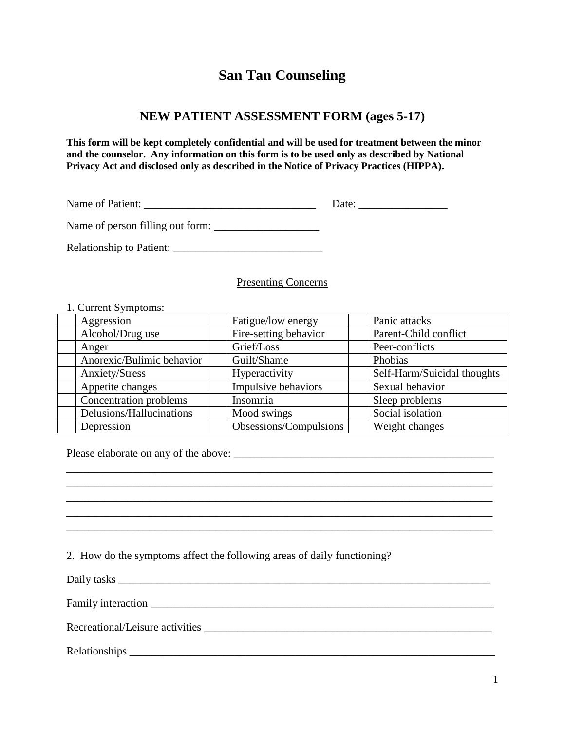## **San Tan Counseling**

## **NEW PATIENT ASSESSMENT FORM (ages 5-17)**

**This form will be kept completely confidential and will be used for treatment between the minor and the counselor. Any information on this form is to be used only as described by National Privacy Act and disclosed only as described in the Notice of Privacy Practices (HIPPA).**

| Name of Patient:                 | Date: |
|----------------------------------|-------|
| Name of person filling out form: |       |

Relationship to Patient: \_\_\_\_\_\_\_\_\_\_\_\_\_\_\_\_\_\_\_\_\_\_\_\_\_\_\_

Presenting Concerns

## 1. Current Symptoms:

| Aggression                | Fatigue/low energy     | Panic attacks               |
|---------------------------|------------------------|-----------------------------|
| Alcohol/Drug use          | Fire-setting behavior  | Parent-Child conflict       |
| Anger                     | Grief/Loss             | Peer-conflicts              |
| Anorexic/Bulimic behavior | Guilt/Shame            | Phobias                     |
| Anxiety/Stress            | Hyperactivity          | Self-Harm/Suicidal thoughts |
| Appetite changes          | Impulsive behaviors    | Sexual behavior             |
| Concentration problems    | Insomnia               | Sleep problems              |
| Delusions/Hallucinations  | Mood swings            | Social isolation            |
| Depression                | Obsessions/Compulsions | Weight changes              |

\_\_\_\_\_\_\_\_\_\_\_\_\_\_\_\_\_\_\_\_\_\_\_\_\_\_\_\_\_\_\_\_\_\_\_\_\_\_\_\_\_\_\_\_\_\_\_\_\_\_\_\_\_\_\_\_\_\_\_\_\_\_\_\_\_\_\_\_\_\_\_\_\_\_\_\_\_ \_\_\_\_\_\_\_\_\_\_\_\_\_\_\_\_\_\_\_\_\_\_\_\_\_\_\_\_\_\_\_\_\_\_\_\_\_\_\_\_\_\_\_\_\_\_\_\_\_\_\_\_\_\_\_\_\_\_\_\_\_\_\_\_\_\_\_\_\_\_\_\_\_\_\_\_\_ \_\_\_\_\_\_\_\_\_\_\_\_\_\_\_\_\_\_\_\_\_\_\_\_\_\_\_\_\_\_\_\_\_\_\_\_\_\_\_\_\_\_\_\_\_\_\_\_\_\_\_\_\_\_\_\_\_\_\_\_\_\_\_\_\_\_\_\_\_\_\_\_\_\_\_\_\_ \_\_\_\_\_\_\_\_\_\_\_\_\_\_\_\_\_\_\_\_\_\_\_\_\_\_\_\_\_\_\_\_\_\_\_\_\_\_\_\_\_\_\_\_\_\_\_\_\_\_\_\_\_\_\_\_\_\_\_\_\_\_\_\_\_\_\_\_\_\_\_\_\_\_\_\_\_ \_\_\_\_\_\_\_\_\_\_\_\_\_\_\_\_\_\_\_\_\_\_\_\_\_\_\_\_\_\_\_\_\_\_\_\_\_\_\_\_\_\_\_\_\_\_\_\_\_\_\_\_\_\_\_\_\_\_\_\_\_\_\_\_\_\_\_\_\_\_\_\_\_\_\_\_\_

Please elaborate on any of the above: \_\_\_\_\_\_\_\_\_\_\_\_\_\_\_\_\_\_\_\_\_\_\_\_\_\_\_\_\_\_\_\_\_\_\_\_\_\_\_\_\_\_\_\_\_\_\_

2. How do the symptoms affect the following areas of daily functioning?

Daily tasks \_\_\_\_\_\_\_\_\_\_\_\_\_\_\_\_\_\_\_\_\_\_\_\_\_\_\_\_\_\_\_\_\_\_\_\_\_\_\_\_\_\_\_\_\_\_\_\_\_\_\_\_\_\_\_\_\_\_\_\_\_\_\_\_\_\_\_

Family interaction \_\_\_\_\_\_\_\_\_\_\_\_\_\_\_\_\_\_\_\_\_\_\_\_\_\_\_\_\_\_\_\_\_\_\_\_\_\_\_\_\_\_\_\_\_\_\_\_\_\_\_\_\_\_\_\_\_\_\_\_\_\_

Recreational/Leisure activities \_\_\_\_\_\_\_\_\_\_\_\_\_\_\_\_\_\_\_\_\_\_\_\_\_\_\_\_\_\_\_\_\_\_\_\_\_\_\_\_\_\_\_\_\_\_\_\_\_\_\_\_

Relationships \_\_\_\_\_\_\_\_\_\_\_\_\_\_\_\_\_\_\_\_\_\_\_\_\_\_\_\_\_\_\_\_\_\_\_\_\_\_\_\_\_\_\_\_\_\_\_\_\_\_\_\_\_\_\_\_\_\_\_\_\_\_\_\_\_\_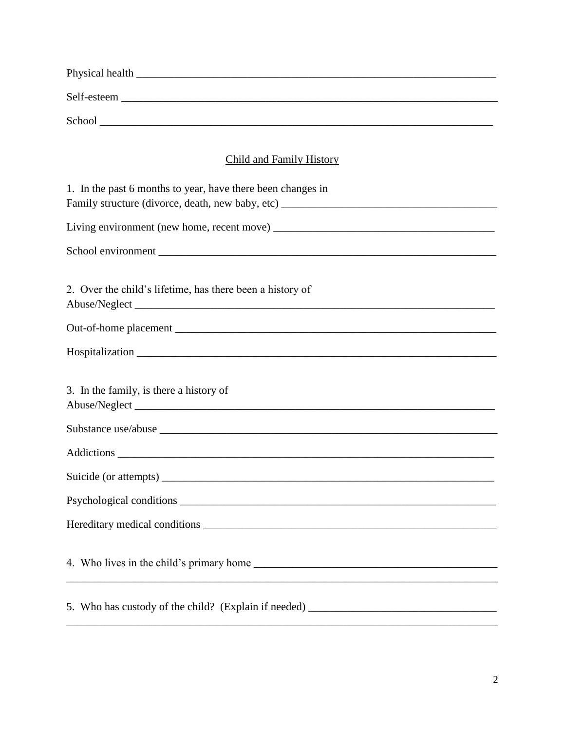| Child and Family History                                                          |
|-----------------------------------------------------------------------------------|
| 1. In the past 6 months to year, have there been changes in                       |
|                                                                                   |
|                                                                                   |
|                                                                                   |
| 2. Over the child's lifetime, has there been a history of                         |
|                                                                                   |
|                                                                                   |
| 3. In the family, is there a history of                                           |
|                                                                                   |
|                                                                                   |
|                                                                                   |
|                                                                                   |
|                                                                                   |
|                                                                                   |
| 5. Who has custody of the child? (Explain if needed) ____________________________ |